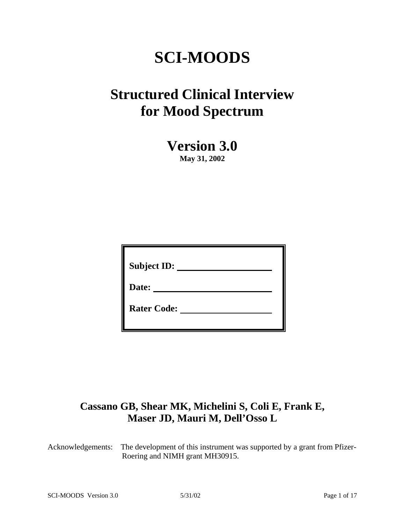# **SCI-MOODS**

## **Structured Clinical Interview for Mood Spectrum**

**Version 3.0**

**May 31, 2002** 

| <b>Subject ID:</b> |
|--------------------|
| Date:              |
| <b>Rater Code:</b> |

## **Cassano GB, Shear MK, Michelini S, Coli E, Frank E, Maser JD, Mauri M, Dell'Osso L**

Acknowledgements: The development of this instrument was supported by a grant from Pfizer-Roering and NIMH grant MH30915.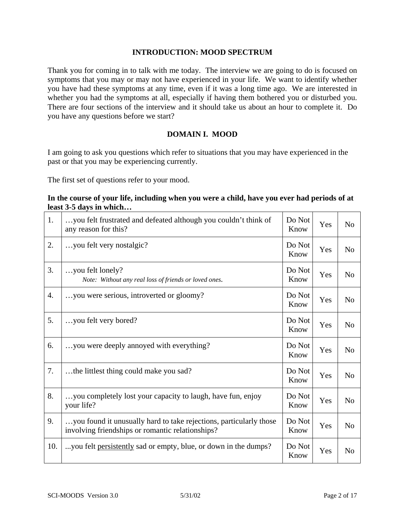#### **INTRODUCTION: MOOD SPECTRUM**

Thank you for coming in to talk with me today. The interview we are going to do is focused on symptoms that you may or may not have experienced in your life. We want to identify whether you have had these symptoms at any time, even if it was a long time ago. We are interested in whether you had the symptoms at all, especially if having them bothered you or disturbed you. There are four sections of the interview and it should take us about an hour to complete it. Do you have any questions before we start?

#### **DOMAIN I. MOOD**

I am going to ask you questions which refer to situations that you may have experienced in the past or that you may be experiencing currently.

The first set of questions refer to your mood.

| 1.  | you felt frustrated and defeated although you couldn't think of<br>any reason for this?                                | Do Not<br>Know | Yes | N <sub>o</sub> |
|-----|------------------------------------------------------------------------------------------------------------------------|----------------|-----|----------------|
| 2.  | you felt very nostalgic?                                                                                               | Do Not<br>Know | Yes | N <sub>o</sub> |
| 3.  | you felt lonely?<br>Note: Without any real loss of friends or loved ones.                                              | Do Not<br>Know | Yes | N <sub>o</sub> |
| 4.  | you were serious, introverted or gloomy?                                                                               | Do Not<br>Know | Yes | N <sub>o</sub> |
| 5.  | you felt very bored?                                                                                                   | Do Not<br>Know | Yes | N <sub>o</sub> |
| 6.  | you were deeply annoyed with everything?                                                                               | Do Not<br>Know | Yes | N <sub>o</sub> |
| 7.  | the littlest thing could make you sad?                                                                                 | Do Not<br>Know | Yes | N <sub>o</sub> |
| 8.  | you completely lost your capacity to laugh, have fun, enjoy<br>your life?                                              | Do Not<br>Know | Yes | N <sub>o</sub> |
| 9.  | you found it unusually hard to take rejections, particularly those<br>involving friendships or romantic relationships? | Do Not<br>Know | Yes | N <sub>o</sub> |
| 10. | you felt persistently sad or empty, blue, or down in the dumps?                                                        | Do Not<br>Know | Yes | N <sub>o</sub> |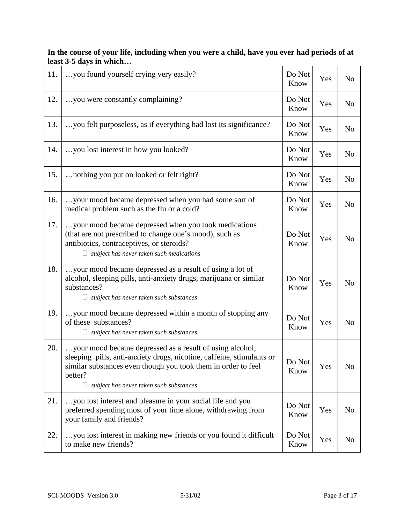| 11. | you found yourself crying very easily?                                                                                                                                                                                                                             | Do Not<br>Know | Yes | N <sub>o</sub> |
|-----|--------------------------------------------------------------------------------------------------------------------------------------------------------------------------------------------------------------------------------------------------------------------|----------------|-----|----------------|
| 12. | you were constantly complaining?                                                                                                                                                                                                                                   | Do Not<br>Know | Yes | N <sub>o</sub> |
| 13. | you felt purposeless, as if everything had lost its significance?                                                                                                                                                                                                  | Do Not<br>Know | Yes | N <sub>o</sub> |
| 14. | you lost interest in how you looked?                                                                                                                                                                                                                               | Do Not<br>Know | Yes | N <sub>o</sub> |
| 15. | nothing you put on looked or felt right?                                                                                                                                                                                                                           | Do Not<br>Know | Yes | N <sub>o</sub> |
| 16. | your mood became depressed when you had some sort of<br>medical problem such as the flu or a cold?                                                                                                                                                                 | Do Not<br>Know | Yes | N <sub>0</sub> |
| 17. | your mood became depressed when you took medications<br>(that are not prescribed to change one's mood), such as<br>antibiotics, contraceptives, or steroids?<br>$\Box$ subject has never taken such medications                                                    | Do Not<br>Know | Yes | N <sub>o</sub> |
| 18. | your mood became depressed as a result of using a lot of<br>alcohol, sleeping pills, anti-anxiety drugs, marijuana or similar<br>substances?<br>subject has never taken such substances                                                                            | Do Not<br>Know | Yes | N <sub>o</sub> |
| 19. | your mood became depressed within a month of stopping any<br>of these substances?<br>subject has never taken such substances                                                                                                                                       | Do Not<br>Know | Yes | N <sub>o</sub> |
| 20. | your mood became depressed as a result of using alcohol,<br>sleeping pills, anti-anxiety drugs, nicotine, caffeine, stimulants or<br>similar substances even though you took them in order to feel<br>better?<br>subject has never taken such substances<br>$\Box$ | Do Not<br>Know | Yes | No             |
| 21. | you lost interest and pleasure in your social life and you<br>preferred spending most of your time alone, withdrawing from<br>your family and friends?                                                                                                             | Do Not<br>Know | Yes | N <sub>o</sub> |
| 22. | you lost interest in making new friends or you found it difficult<br>to make new friends?                                                                                                                                                                          | Do Not<br>Know | Yes | N <sub>o</sub> |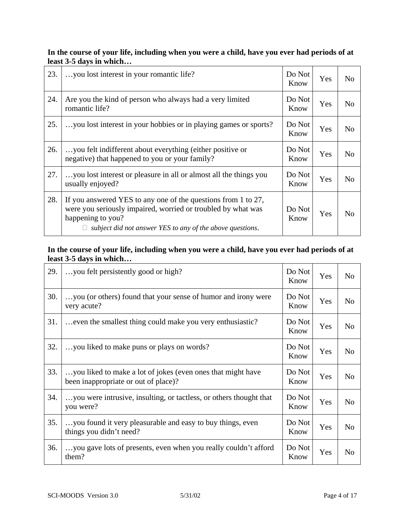| 23. | you lost interest in your romantic life?                                                                                                                                                                        | Do Not<br>Know | Yes | N <sub>o</sub> |
|-----|-----------------------------------------------------------------------------------------------------------------------------------------------------------------------------------------------------------------|----------------|-----|----------------|
| 24. | Are you the kind of person who always had a very limited<br>romantic life?                                                                                                                                      | Do Not<br>Know | Yes | N <sub>o</sub> |
| 25. | you lost interest in your hobbies or in playing games or sports?                                                                                                                                                | Do Not<br>Know | Yes | N <sub>o</sub> |
| 26. | you felt indifferent about everything (either positive or<br>negative) that happened to you or your family?                                                                                                     | Do Not<br>Know | Yes | N <sub>o</sub> |
| 27. | you lost interest or pleasure in all or almost all the things you<br>usually enjoyed?                                                                                                                           | Do Not<br>Know | Yes | N <sub>o</sub> |
| 28. | If you answered YES to any one of the questions from 1 to 27,<br>were you seriously impaired, worried or troubled by what was<br>happening to you?<br>subject did not answer YES to any of the above questions. | Do Not<br>Know | Yes | No             |

| 29. | you felt persistently good or high?                                                                 | Do Not<br>Know | Yes | N <sub>o</sub> |
|-----|-----------------------------------------------------------------------------------------------------|----------------|-----|----------------|
| 30. | you (or others) found that your sense of humor and irony were<br>very acute?                        | Do Not<br>Know | Yes | N <sub>o</sub> |
| 31. | even the smallest thing could make you very enthusiastic?                                           | Do Not<br>Know | Yes | N <sub>o</sub> |
| 32. | you liked to make puns or plays on words?                                                           | Do Not<br>Know | Yes | N <sub>o</sub> |
| 33. | you liked to make a lot of jokes (even ones that might have<br>been inappropriate or out of place)? | Do Not<br>Know | Yes | N <sub>o</sub> |
| 34. | you were intrusive, insulting, or tactless, or others thought that<br>you were?                     | Do Not<br>Know | Yes | N <sub>o</sub> |
| 35. | you found it very pleasurable and easy to buy things, even<br>things you didn't need?               | Do Not<br>Know | Yes | N <sub>o</sub> |
| 36. | you gave lots of presents, even when you really couldn't afford<br>them?                            | Do Not<br>Know | Yes | N <sub>o</sub> |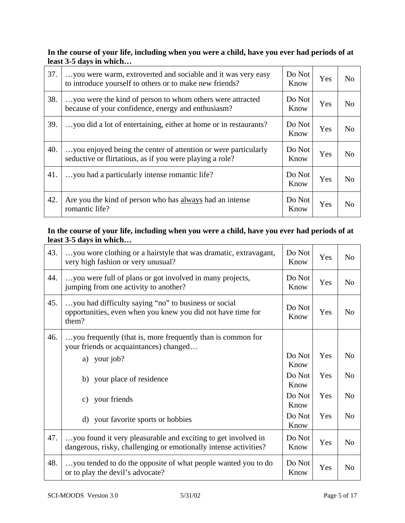| 37. | you were warm, extroverted and sociable and it was very easy<br>to introduce yourself to others or to make new friends?    | Do Not<br>Know | Yes | No             |
|-----|----------------------------------------------------------------------------------------------------------------------------|----------------|-----|----------------|
| 38. | you were the kind of person to whom others were attracted<br>because of your confidence, energy and enthusiasm?            | Do Not<br>Know | Yes | N <sub>o</sub> |
| 39. | you did a lot of entertaining, either at home or in restaurants?                                                           | Do Not<br>Know | Yes | N <sub>o</sub> |
| 40. | you enjoyed being the center of attention or were particularly<br>seductive or flirtatious, as if you were playing a role? | Do Not<br>Know | Yes | N <sub>o</sub> |
| 41. | you had a particularly intense romantic life?                                                                              | Do Not<br>Know | Yes | No             |
| 42. | Are you the kind of person who has always had an intense<br>romantic life?                                                 | Do Not<br>Know | Yes | N <sub>o</sub> |

| 43. | you wore clothing or a hairstyle that was dramatic, extravagant,<br>very high fashion or very unusual?                            | Do Not<br>Know | Yes | N <sub>o</sub> |
|-----|-----------------------------------------------------------------------------------------------------------------------------------|----------------|-----|----------------|
| 44. | you were full of plans or got involved in many projects,<br>jumping from one activity to another?                                 | Do Not<br>Know | Yes | N <sub>o</sub> |
| 45. | you had difficulty saying "no" to business or social<br>opportunities, even when you knew you did not have time for<br>them?      | Do Not<br>Know | Yes | N <sub>o</sub> |
| 46. | you frequently (that is, more frequently than is common for<br>your friends or acquaintances) changed                             |                |     |                |
|     | a) your job?                                                                                                                      | Do Not<br>Know | Yes | N <sub>o</sub> |
|     | b) your place of residence                                                                                                        | Do Not<br>Know | Yes | No             |
|     | c) your friends                                                                                                                   | Do Not<br>Know | Yes | N <sub>o</sub> |
|     | d) your favorite sports or hobbies                                                                                                | Do Not<br>Know | Yes | N <sub>o</sub> |
| 47. | you found it very pleasurable and exciting to get involved in<br>dangerous, risky, challenging or emotionally intense activities? | Do Not<br>Know | Yes | N <sub>o</sub> |
| 48. | you tended to do the opposite of what people wanted you to do<br>or to play the devil's advocate?                                 | Do Not<br>Know | Yes | N <sub>o</sub> |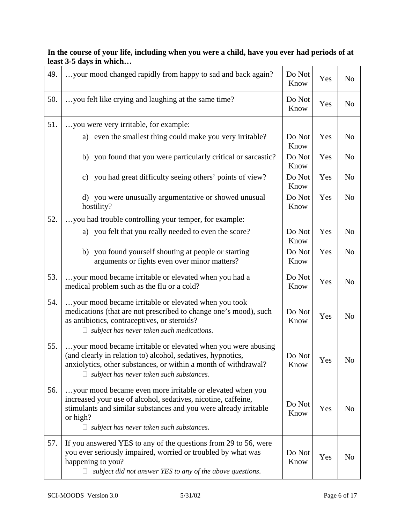| 49. | your mood changed rapidly from happy to sad and back again?                                                                                                                                                                                                   | Do Not<br>Know | Yes | N <sub>o</sub> |
|-----|---------------------------------------------------------------------------------------------------------------------------------------------------------------------------------------------------------------------------------------------------------------|----------------|-----|----------------|
| 50. | you felt like crying and laughing at the same time?                                                                                                                                                                                                           | Do Not<br>Know | Yes | N <sub>0</sub> |
| 51. | you were very irritable, for example:                                                                                                                                                                                                                         |                |     |                |
|     | a) even the smallest thing could make you very irritable?                                                                                                                                                                                                     | Do Not<br>Know | Yes | N <sub>o</sub> |
|     | b) you found that you were particularly critical or sarcastic?                                                                                                                                                                                                | Do Not<br>Know | Yes | N <sub>o</sub> |
|     | c) you had great difficulty seeing others' points of view?                                                                                                                                                                                                    | Do Not<br>Know | Yes | N <sub>o</sub> |
|     | d) you were unusually argumentative or showed unusual<br>hostility?                                                                                                                                                                                           | Do Not<br>Know | Yes | N <sub>o</sub> |
| 52. | you had trouble controlling your temper, for example:                                                                                                                                                                                                         |                |     |                |
|     | a) you felt that you really needed to even the score?                                                                                                                                                                                                         | Do Not<br>Know | Yes | N <sub>o</sub> |
|     | b) you found yourself shouting at people or starting<br>arguments or fights even over minor matters?                                                                                                                                                          | Do Not<br>Know | Yes | N <sub>o</sub> |
| 53. | your mood became irritable or elevated when you had a<br>medical problem such as the flu or a cold?                                                                                                                                                           | Do Not<br>Know | Yes | N <sub>o</sub> |
| 54. | your mood became irritable or elevated when you took<br>medications (that are not prescribed to change one's mood), such<br>as antibiotics, contraceptives, or steroids?<br>subject has never taken such medications.                                         | Do Not<br>Know | Yes | N <sub>o</sub> |
| 55. | your mood became irritable or elevated when you were abusing<br>(and clearly in relation to) alcohol, sedatives, hypnotics,<br>anxiolytics, other substances, or within a month of withdrawal?<br>subject has never taken such substances.                    | Do Not<br>Know | Yes | N <sub>0</sub> |
| 56. | your mood became even more irritable or elevated when you<br>increased your use of alcohol, sedatives, nicotine, caffeine,<br>stimulants and similar substances and you were already irritable<br>or high?<br>$\Box$ subject has never taken such substances. | Do Not<br>Know | Yes | N <sub>o</sub> |
| 57. | If you answered YES to any of the questions from 29 to 56, were<br>you ever seriously impaired, worried or troubled by what was<br>happening to you?<br>subject did not answer YES to any of the above questions.                                             | Do Not<br>Know | Yes | N <sub>o</sub> |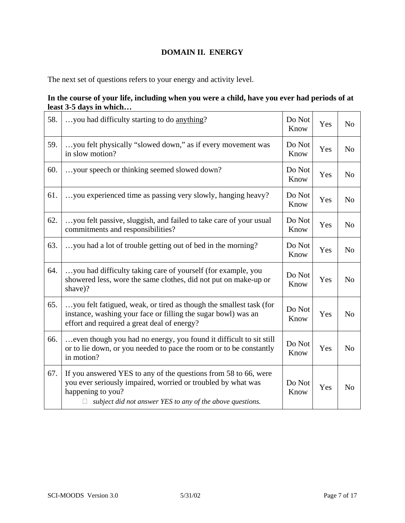## **DOMAIN II. ENERGY**

The next set of questions refers to your energy and activity level.

| 58. | you had difficulty starting to do anything?                                                                                                                                                                       | Do Not<br>Know | Yes | N <sub>o</sub> |
|-----|-------------------------------------------------------------------------------------------------------------------------------------------------------------------------------------------------------------------|----------------|-----|----------------|
| 59. | you felt physically "slowed down," as if every movement was<br>in slow motion?                                                                                                                                    | Do Not<br>Know | Yes | N <sub>o</sub> |
| 60. | your speech or thinking seemed slowed down?                                                                                                                                                                       | Do Not<br>Know | Yes | N <sub>o</sub> |
| 61. | you experienced time as passing very slowly, hanging heavy?                                                                                                                                                       | Do Not<br>Know | Yes | N <sub>o</sub> |
| 62. | you felt passive, sluggish, and failed to take care of your usual<br>commitments and responsibilities?                                                                                                            | Do Not<br>Know | Yes | N <sub>o</sub> |
| 63. | you had a lot of trouble getting out of bed in the morning?                                                                                                                                                       | Do Not<br>Know | Yes | N <sub>o</sub> |
| 64. | you had difficulty taking care of yourself (for example, you<br>showered less, wore the same clothes, did not put on make-up or<br>shave)?                                                                        | Do Not<br>Know | Yes | N <sub>o</sub> |
| 65. | you felt fatigued, weak, or tired as though the smallest task (for<br>instance, washing your face or filling the sugar bowl) was an<br>effort and required a great deal of energy?                                | Do Not<br>Know | Yes | N <sub>o</sub> |
| 66. | even though you had no energy, you found it difficult to sit still<br>or to lie down, or you needed to pace the room or to be constantly<br>in motion?                                                            | Do Not<br>Know | Yes | N <sub>o</sub> |
| 67. | If you answered YES to any of the questions from 58 to 66, were<br>you ever seriously impaired, worried or troubled by what was<br>happening to you?<br>subject did not answer YES to any of the above questions. | Do Not<br>Know | Yes | N <sub>o</sub> |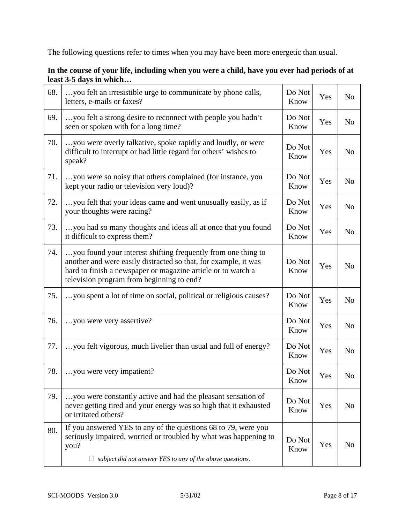The following questions refer to times when you may have been more energetic than usual.

| In the course of your life, including when you were a child, have you ever had periods of at |  |  |
|----------------------------------------------------------------------------------------------|--|--|
| least 3-5 days in which                                                                      |  |  |
|                                                                                              |  |  |

| 68. | you felt an irresistible urge to communicate by phone calls,<br>letters, e-mails or faxes?                                                                                                                                                    | Do Not<br>Know | Yes | N <sub>o</sub> |
|-----|-----------------------------------------------------------------------------------------------------------------------------------------------------------------------------------------------------------------------------------------------|----------------|-----|----------------|
| 69. | you felt a strong desire to reconnect with people you hadn't<br>seen or spoken with for a long time?                                                                                                                                          | Do Not<br>Know | Yes | N <sub>o</sub> |
| 70. | you were overly talkative, spoke rapidly and loudly, or were<br>difficult to interrupt or had little regard for others' wishes to<br>speak?                                                                                                   | Do Not<br>Know | Yes | N <sub>o</sub> |
| 71. | you were so noisy that others complained (for instance, you<br>kept your radio or television very loud)?                                                                                                                                      | Do Not<br>Know | Yes | N <sub>o</sub> |
| 72. | you felt that your ideas came and went unusually easily, as if<br>your thoughts were racing?                                                                                                                                                  | Do Not<br>Know | Yes | N <sub>o</sub> |
| 73. | you had so many thoughts and ideas all at once that you found<br>it difficult to express them?                                                                                                                                                | Do Not<br>Know | Yes | N <sub>o</sub> |
| 74. | you found your interest shifting frequently from one thing to<br>another and were easily distracted so that, for example, it was<br>hard to finish a newspaper or magazine article or to watch a<br>television program from beginning to end? | Do Not<br>Know | Yes | N <sub>o</sub> |
| 75. | you spent a lot of time on social, political or religious causes?                                                                                                                                                                             | Do Not<br>Know | Yes | N <sub>o</sub> |
| 76. | you were very assertive?                                                                                                                                                                                                                      | Do Not<br>Know | Yes | N <sub>o</sub> |
| 77. | you felt vigorous, much livelier than usual and full of energy?                                                                                                                                                                               | Do Not<br>Know | Yes | N <sub>o</sub> |
| 78. | you were very impatient?                                                                                                                                                                                                                      | Do Not<br>Know | Yes | N <sub>o</sub> |
| 79. | you were constantly active and had the pleasant sensation of<br>never getting tired and your energy was so high that it exhausted<br>or irritated others?                                                                                     | Do Not<br>Know | Yes | N <sub>o</sub> |
| 80. | If you answered YES to any of the questions 68 to 79, were you<br>seriously impaired, worried or troubled by what was happening to<br>you?<br>subject did not answer YES to any of the above questions.                                       | Do Not<br>Know | Yes | N <sub>o</sub> |
|     |                                                                                                                                                                                                                                               |                |     |                |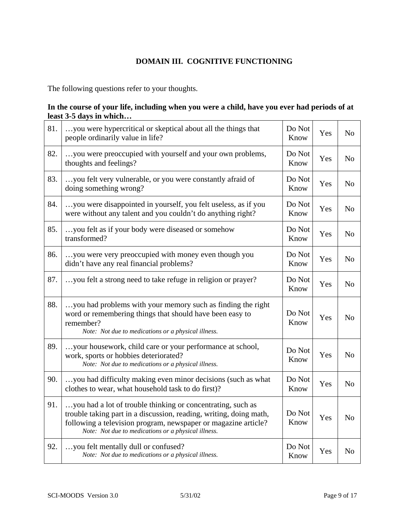## **DOMAIN III. COGNITIVE FUNCTIONING**

The following questions refer to your thoughts.

| 81. | you were hypercritical or skeptical about all the things that<br>people ordinarily value in life?                                                                                                                                                          | Do Not<br>Know | Yes | N <sub>o</sub> |
|-----|------------------------------------------------------------------------------------------------------------------------------------------------------------------------------------------------------------------------------------------------------------|----------------|-----|----------------|
| 82. | you were preoccupied with yourself and your own problems,<br>thoughts and feelings?                                                                                                                                                                        | Do Not<br>Know | Yes | N <sub>o</sub> |
| 83. | you felt very vulnerable, or you were constantly afraid of<br>doing something wrong?                                                                                                                                                                       | Do Not<br>Know | Yes | N <sub>o</sub> |
| 84. | you were disappointed in yourself, you felt useless, as if you<br>were without any talent and you couldn't do anything right?                                                                                                                              | Do Not<br>Know | Yes | N <sub>o</sub> |
| 85. | you felt as if your body were diseased or somehow<br>transformed?                                                                                                                                                                                          | Do Not<br>Know | Yes | N <sub>o</sub> |
| 86. | you were very preoccupied with money even though you<br>didn't have any real financial problems?                                                                                                                                                           | Do Not<br>Know | Yes | N <sub>o</sub> |
| 87. | you felt a strong need to take refuge in religion or prayer?                                                                                                                                                                                               | Do Not<br>Know | Yes | N <sub>o</sub> |
| 88. | you had problems with your memory such as finding the right<br>word or remembering things that should have been easy to<br>remember?<br>Note: Not due to medications or a physical illness.                                                                | Do Not<br>Know | Yes | N <sub>o</sub> |
| 89. | your housework, child care or your performance at school,<br>work, sports or hobbies deteriorated?<br>Note: Not due to medications or a physical illness.                                                                                                  | Do Not<br>Know | Yes | N <sub>o</sub> |
| 90. | you had difficulty making even minor decisions (such as what<br>clothes to wear, what household task to do first)?                                                                                                                                         | Do Not<br>Know | Yes | N <sub>o</sub> |
| 91. | you had a lot of trouble thinking or concentrating, such as<br>trouble taking part in a discussion, reading, writing, doing math,<br>following a television program, newspaper or magazine article?<br>Note: Not due to medications or a physical illness. | Do Not<br>Know | Yes | N <sub>o</sub> |
| 92. | you felt mentally dull or confused?<br>Note: Not due to medications or a physical illness.                                                                                                                                                                 | Do Not<br>Know | Yes | N <sub>o</sub> |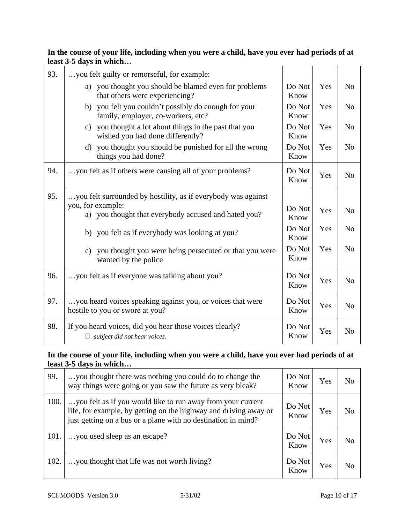| 93. | you felt guilty or remorseful, for example:                                                    |                |     |                |
|-----|------------------------------------------------------------------------------------------------|----------------|-----|----------------|
|     | you thought you should be blamed even for problems<br>a)<br>that others were experiencing?     | Do Not<br>Know | Yes | N <sub>o</sub> |
|     | b) you felt you couldn't possibly do enough for your<br>family, employer, co-workers, etc?     | Do Not<br>Know | Yes | N <sub>o</sub> |
|     | you thought a lot about things in the past that you<br>c)<br>wished you had done differently?  | Do Not<br>Know | Yes | N <sub>o</sub> |
|     | you thought you should be punished for all the wrong<br>$\mathbf{d}$<br>things you had done?   | Do Not<br>Know | Yes | N <sub>o</sub> |
| 94. | you felt as if others were causing all of your problems?                                       | Do Not<br>Know | Yes | N <sub>0</sub> |
| 95. | you felt surrounded by hostility, as if everybody was against                                  |                |     |                |
|     | you, for example:<br>a) you thought that everybody accused and hated you?                      | Do Not<br>Know | Yes | N <sub>o</sub> |
|     | b) you felt as if everybody was looking at you?                                                | Do Not<br>Know | Yes | N <sub>o</sub> |
|     | you thought you were being persecuted or that you were<br>$\mathbf{c}$<br>wanted by the police | Do Not<br>Know | Yes | N <sub>0</sub> |
| 96. | you felt as if everyone was talking about you?                                                 | Do Not<br>Know | Yes | N <sub>o</sub> |
| 97. | you heard voices speaking against you, or voices that were<br>hostile to you or swore at you?  | Do Not<br>Know | Yes | N <sub>o</sub> |
| 98. | If you heard voices, did you hear those voices clearly?<br>subject did not hear voices.<br>Ц   | Do Not<br>Know | Yes | N <sub>0</sub> |

| 99.  | you thought there was nothing you could do to change the<br>way things were going or you saw the future as very bleak?                                                                           | Do Not<br>Know | Yes | N <sub>o</sub> |
|------|--------------------------------------------------------------------------------------------------------------------------------------------------------------------------------------------------|----------------|-----|----------------|
| 100. | you felt as if you would like to run away from your current<br>life, for example, by getting on the highway and driving away or<br>just getting on a bus or a plane with no destination in mind? | Do Not<br>Know | Yes | N <sub>0</sub> |
| 101. | you used sleep as an escape?                                                                                                                                                                     | Do Not<br>Know | Yes | N <sub>0</sub> |
| 102. | you thought that life was not worth living?                                                                                                                                                      | Do Not<br>Know | Yes | N <sub>0</sub> |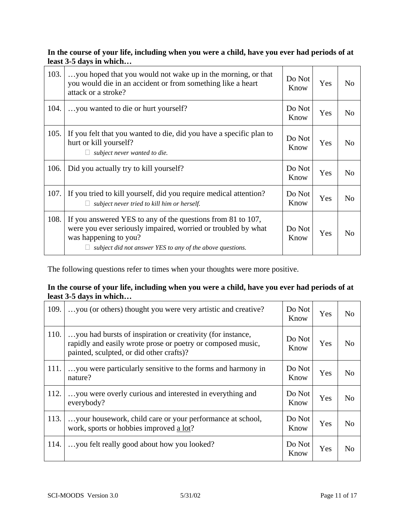| 103. | you hoped that you would not wake up in the morning, or that<br>you would die in an accident or from something like a heart<br>attack or a stroke?                                                                 | Do Not<br>Know | Yes | N <sub>0</sub> |
|------|--------------------------------------------------------------------------------------------------------------------------------------------------------------------------------------------------------------------|----------------|-----|----------------|
| 104. | you wanted to die or hurt yourself?                                                                                                                                                                                | Do Not<br>Know | Yes | N <sub>o</sub> |
| 105. | If you felt that you wanted to die, did you have a specific plan to<br>hurt or kill yourself?<br>subject never wanted to die.                                                                                      | Do Not<br>Know | Yes | N <sub>0</sub> |
| 106. | Did you actually try to kill yourself?                                                                                                                                                                             | Do Not<br>Know | Yes | N <sub>o</sub> |
| 107. | If you tried to kill yourself, did you require medical attention?<br>subject never tried to kill him or herself.                                                                                                   | Do Not<br>Know | Yes | N <sub>o</sub> |
| 108. | If you answered YES to any of the questions from 81 to 107,<br>were you ever seriously impaired, worried or troubled by what<br>was happening to you?<br>subject did not answer YES to any of the above questions. | Do Not<br>Know | Yes | N <sub>0</sub> |

The following questions refer to times when your thoughts were more positive.

| 109. | you (or others) thought you were very artistic and creative?                                                                                                          | Do Not<br>Know | Yes | N <sub>o</sub> |
|------|-----------------------------------------------------------------------------------------------------------------------------------------------------------------------|----------------|-----|----------------|
| 110. | you had bursts of inspiration or creativity (for instance,<br>rapidly and easily wrote prose or poetry or composed music,<br>painted, sculpted, or did other crafts)? | Do Not<br>Know | Yes | No             |
| 111. | you were particularly sensitive to the forms and harmony in<br>nature?                                                                                                | Do Not<br>Know | Yes | N <sub>o</sub> |
| 112. | you were overly curious and interested in everything and<br>everybody?                                                                                                | Do Not<br>Know | Yes | No             |
| 113. | your housework, child care or your performance at school,<br>work, sports or hobbies improved a lot?                                                                  | Do Not<br>Know | Yes | N <sub>o</sub> |
| 114. | you felt really good about how you looked?                                                                                                                            | Do Not<br>Know | Yes | No             |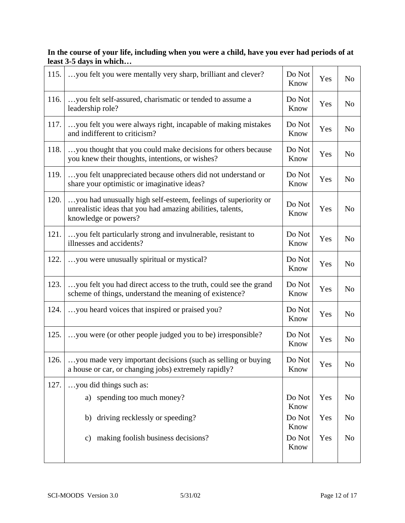| 115. | you felt you were mentally very sharp, brilliant and clever?                                                                                         | Do Not<br>Know | Yes | N <sub>o</sub> |
|------|------------------------------------------------------------------------------------------------------------------------------------------------------|----------------|-----|----------------|
| 116. | you felt self-assured, charismatic or tended to assume a<br>leadership role?                                                                         | Do Not<br>Know | Yes | N <sub>o</sub> |
| 117. | you felt you were always right, incapable of making mistakes<br>and indifferent to criticism?                                                        | Do Not<br>Know | Yes | N <sub>o</sub> |
| 118. | you thought that you could make decisions for others because<br>you knew their thoughts, intentions, or wishes?                                      | Do Not<br>Know | Yes | N <sub>o</sub> |
| 119. | you felt unappreciated because others did not understand or<br>share your optimistic or imaginative ideas?                                           | Do Not<br>Know | Yes | N <sub>0</sub> |
| 120. | you had unusually high self-esteem, feelings of superiority or<br>unrealistic ideas that you had amazing abilities, talents,<br>knowledge or powers? | Do Not<br>Know | Yes | N <sub>o</sub> |
| 121. | you felt particularly strong and invulnerable, resistant to<br>illnesses and accidents?                                                              | Do Not<br>Know | Yes | N <sub>o</sub> |
| 122. | you were unusually spiritual or mystical?                                                                                                            | Do Not<br>Know | Yes | N <sub>0</sub> |
| 123. | you felt you had direct access to the truth, could see the grand<br>scheme of things, understand the meaning of existence?                           | Do Not<br>Know | Yes | N <sub>o</sub> |
| 124. | you heard voices that inspired or praised you?                                                                                                       | Do Not<br>Know | Yes | N <sub>0</sub> |
| 125. | you were (or other people judged you to be) irresponsible?                                                                                           | Do Not<br>Know | Yes | N <sub>o</sub> |
| 126. | you made very important decisions (such as selling or buying<br>a house or car, or changing jobs) extremely rapidly?                                 | Do Not<br>Know | Yes | No             |
| 127. | you did things such as:                                                                                                                              |                |     |                |
|      | a) spending too much money?                                                                                                                          | Do Not<br>Know | Yes | No             |
|      | b) driving recklessly or speeding?                                                                                                                   | Do Not<br>Know | Yes | N <sub>0</sub> |
|      | c) making foolish business decisions?                                                                                                                | Do Not<br>Know | Yes | No             |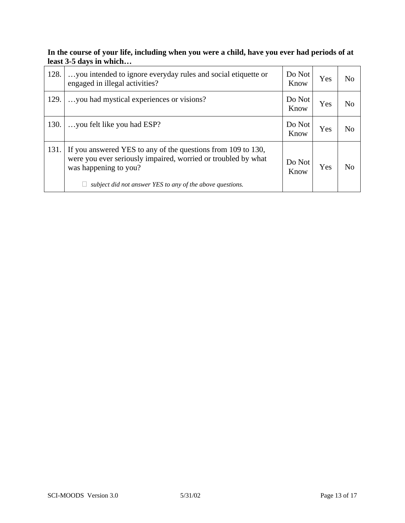| 128. | you intended to ignore everyday rules and social etiquette or<br>engaged in illegal activities?                                                                                                                     | Do Not<br>Know | Yes | N <sub>o</sub> |
|------|---------------------------------------------------------------------------------------------------------------------------------------------------------------------------------------------------------------------|----------------|-----|----------------|
| 129. | you had mystical experiences or visions?                                                                                                                                                                            | Do Not<br>Know | Yes | N <sub>o</sub> |
| 130. | you felt like you had ESP?                                                                                                                                                                                          | Do Not<br>Know | Yes | N <sub>o</sub> |
| 131. | If you answered YES to any of the questions from 109 to 130,<br>were you ever seriously impaired, worried or troubled by what<br>was happening to you?<br>subject did not answer YES to any of the above questions. | Do Not<br>Know | Yes | N <sub>0</sub> |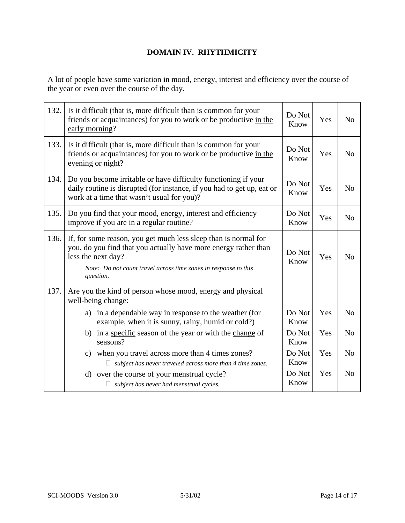## **DOMAIN IV. RHYTHMICITY**

A lot of people have some variation in mood, energy, interest and efficiency over the course of the year or even over the course of the day.

| 132. | Is it difficult (that is, more difficult than is common for your<br>friends or acquaintances) for you to work or be productive in the<br>early morning?                                                                                  | Do Not<br>Know | Yes | N <sub>o</sub> |
|------|------------------------------------------------------------------------------------------------------------------------------------------------------------------------------------------------------------------------------------------|----------------|-----|----------------|
| 133. | Is it difficult (that is, more difficult than is common for your<br>friends or acquaintances) for you to work or be productive in the<br>evening or night?                                                                               | Do Not<br>Know | Yes | N <sub>o</sub> |
| 134. | Do you become irritable or have difficulty functioning if your<br>daily routine is disrupted (for instance, if you had to get up, eat or<br>work at a time that wasn't usual for you)?                                                   | Do Not<br>Know | Yes | N <sub>o</sub> |
| 135. | Do you find that your mood, energy, interest and efficiency<br>improve if you are in a regular routine?                                                                                                                                  | Do Not<br>Know | Yes | N <sub>o</sub> |
| 136. | If, for some reason, you get much less sleep than is normal for<br>you, do you find that you actually have more energy rather than<br>less the next day?<br>Note: Do not count travel across time zones in response to this<br>question. | Do Not<br>Know | Yes | N <sub>o</sub> |
| 137. | Are you the kind of person whose mood, energy and physical<br>well-being change:                                                                                                                                                         |                |     |                |
|      | in a dependable way in response to the weather (for<br>a)<br>example, when it is sunny, rainy, humid or cold?)                                                                                                                           | Do Not<br>Know | Yes | N <sub>o</sub> |
|      | b) in a specific season of the year or with the change of<br>seasons?                                                                                                                                                                    | Do Not<br>Know | Yes | N <sub>o</sub> |
|      | when you travel across more than 4 times zones?<br>c)<br>subject has never traveled across more than 4 time zones.<br>$\Box$                                                                                                             | Do Not<br>Know | Yes | N <sub>o</sub> |
|      | d) over the course of your menstrual cycle?<br>subject has never had menstrual cycles.                                                                                                                                                   | Do Not<br>Know | Yes | N <sub>o</sub> |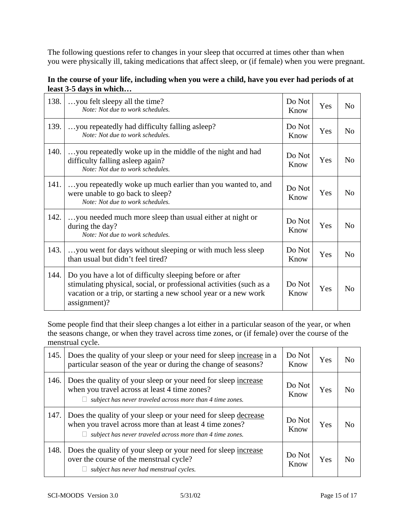The following questions refer to changes in your sleep that occurred at times other than when you were physically ill, taking medications that affect sleep, or (if female) when you were pregnant.

| In the course of your life, including when you were a child, have you ever had periods of at |  |
|----------------------------------------------------------------------------------------------|--|
| least 3-5 days in which                                                                      |  |

| 138. | you felt sleepy all the time?<br>Note: Not due to work schedules.                                                                                                                                                  | Do Not<br>Know | Yes | N <sub>0</sub> |
|------|--------------------------------------------------------------------------------------------------------------------------------------------------------------------------------------------------------------------|----------------|-----|----------------|
| 139. | you repeatedly had difficulty falling as leep?<br>Note: Not due to work schedules.                                                                                                                                 | Do Not<br>Know | Yes | N <sub>o</sub> |
| 140. | you repeatedly woke up in the middle of the night and had<br>difficulty falling asleep again?<br>Note: Not due to work schedules.                                                                                  | Do Not<br>Know | Yes | N <sub>o</sub> |
| 141. | you repeatedly woke up much earlier than you wanted to, and<br>were unable to go back to sleep?<br>Note: Not due to work schedules.                                                                                | Do Not<br>Know | Yes | N <sub>0</sub> |
| 142. | you needed much more sleep than usual either at night or<br>during the day?<br>Note: Not due to work schedules.                                                                                                    | Do Not<br>Know | Yes | N <sub>o</sub> |
| 143. | you went for days without sleeping or with much less sleep<br>than usual but didn't feel tired?                                                                                                                    | Do Not<br>Know | Yes | N <sub>o</sub> |
| 144. | Do you have a lot of difficulty sleeping before or after<br>stimulating physical, social, or professional activities (such as a<br>vacation or a trip, or starting a new school year or a new work<br>assignment)? | Do Not<br>Know | Yes | N <sub>0</sub> |

Some people find that their sleep changes a lot either in a particular season of the year, or when the seasons change, or when they travel across time zones, or (if female) over the course of the menstrual cycle.

| 145. | Does the quality of your sleep or your need for sleep increase in a<br>particular season of the year or during the change of seasons?                                                        | Do Not<br>Know | Yes | No             |
|------|----------------------------------------------------------------------------------------------------------------------------------------------------------------------------------------------|----------------|-----|----------------|
| 146. | Does the quality of your sleep or your need for sleep increase<br>when you travel across at least 4 time zones?<br>subject has never traveled across more than 4 time zones.<br>$\mathbf{L}$ | Do Not<br>Know | Yes | No             |
| 147. | Does the quality of your sleep or your need for sleep decrease<br>when you travel across more than at least 4 time zones?<br>subject has never traveled across more than 4 time zones.       | Do Not<br>Know | Yes | N <sub>0</sub> |
| 148. | Does the quality of your sleep or your need for sleep increase<br>over the course of the menstrual cycle?<br>subject has never had menstrual cycles.                                         | Do Not<br>Know | Yes | N <sub>0</sub> |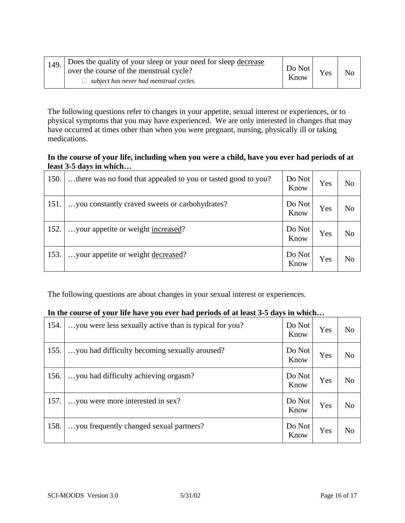| 149. | Does the quality of your sleep or your need for sleep decrease<br>over the course of the menstrual cycle?<br>subject has never had menstrual cycles. | $Do$ Not<br>Know | Yes | N <sub>o</sub> |  |
|------|------------------------------------------------------------------------------------------------------------------------------------------------------|------------------|-----|----------------|--|
|------|------------------------------------------------------------------------------------------------------------------------------------------------------|------------------|-----|----------------|--|

The following questions refer to changes in your appetite, sexual interest or experiences, or to physical symptoms that you may have experienced. We are only interested in changes that may have occurred at times other than when you were pregnant, nursing, physically ill or taking medications.

#### **In the course of your life, including when you were a child, have you ever had periods of at least 3-5 days in which…**

| 150. | there was no food that appealed to you or tasted good to you? | Do Not<br>Know | Yes | N <sub>o</sub> |
|------|---------------------------------------------------------------|----------------|-----|----------------|
| 151. | you constantly craved sweets or carbohydrates?                | Do Not<br>Know | Yes | N <sub>o</sub> |
| 152. | your appetite or weight increased?                            | Do Not<br>Know | Yes | N <sub>o</sub> |
| 153. | your appetite or weight decreased?                            | Do Not<br>Know | Yes | N <sub>o</sub> |

The following questions are about changes in your sexual interest or experiences.

#### **In the course of your life have you ever had periods of at least 3-5 days in which…**

| 154. | you were less sexually active than is typical for you? | Do Not<br>Know | Yes | No             |
|------|--------------------------------------------------------|----------------|-----|----------------|
| 155. | you had difficulty becoming sexually aroused?          | Do Not<br>Know | Yes | N <sub>o</sub> |
| 156. | you had difficulty achieving orgasm?                   | Do Not<br>Know | Yes | No             |
| 157. | you were more interested in sex?                       | Do Not<br>Know | Yes | No             |
| 158. | you frequently changed sexual partners?                | Do Not<br>Know | Yes | No             |